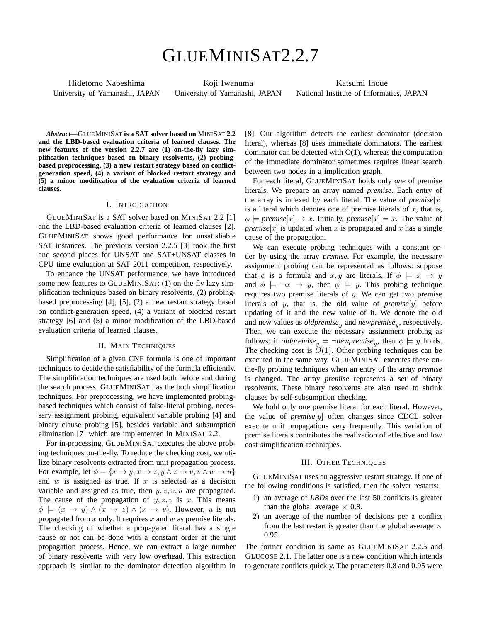# GLUEMINISAT2.2.7

Hidetomo Nabeshima University of Yamanashi, JAPAN

Koji Iwanuma University of Yamanashi, JAPAN

Katsumi Inoue National Institute of Informatics, JAPAN

*Abstract***—**GLUEMINISAT **is a SAT solver based on** MINISAT **2.2 and the LBD-based evaluation criteria of learned clauses. The new features of the version 2.2.7 are (1) on-the-fly lazy simplification techniques based on binary resolvents, (2) probingbased preprocessing, (3) a new restart strategy based on conflictgeneration speed, (4) a variant of blocked restart strategy and (5) a minor modification of the evaluation criteria of learned clauses.**

#### I. INTRODUCTION

GLUEMINISAT is a SAT solver based on MINISAT 2.2 [1] and the LBD-based evaluation criteria of learned clauses [2]. GLUEMINISAT shows good performance for unsatisfiable SAT instances. The previous version 2.2.5 [3] took the first and second places for UNSAT and SAT+UNSAT classes in CPU time evaluation at SAT 2011 competition, respectively.

To enhance the UNSAT performance, we have introduced some new features to GLUEMINISAT: (1) on-the-fly lazy simplification techniques based on binary resolvents, (2) probingbased preprocessing [4], [5], (2) a new restart strategy based on conflict-generation speed, (4) a variant of blocked restart strategy [6] and (5) a minor modification of the LBD-based evaluation criteria of learned clauses.

# II. MAIN TECHNIQUES

Simplification of a given CNF formula is one of important techniques to decide the satisfiability of the formula efficiently. The simplification techniques are used both before and during the search process. GLUEMINISAT has the both simplification techniques. For preprocessing, we have implemented probingbased techniques which consist of false-literal probing, necessary assignment probing, equivalent variable probing [4] and binary clause probing [5], besides variable and subsumption elimination [7] which are implemented in MINISAT 2.2.

For in-processing, GLUEMINISAT executes the above probing techniques on-the-fly. To reduce the checking cost, we utilize binary resolvents extracted from unit propagation process. For example, let  $\phi = \{x \rightarrow y, x \rightarrow z, y \land z \rightarrow v, v \land w \rightarrow u\}$ and *w* is assigned as true. If *x* is selected as a decision variable and assigned as true, then *y, z, v, u* are propagated. The cause of the propagation of  $y, z, v$  is  $x$ . This means  $\phi \models (x \rightarrow y) \land (x \rightarrow z) \land (x \rightarrow v)$ . However, *u* is not propagated from *x* only. It requires *x* and *w* as premise literals. The checking of whether a propagated literal has a single cause or not can be done with a constant order at the unit propagation process. Hence, we can extract a large number of binary resolvents with very low overhead. This extraction approach is similar to the dominator detection algorithm in

[8]. Our algorithm detects the earliest dominator (decision literal), whereas [8] uses immediate dominators. The earliest dominator can be detected with O(1), whereas the computation of the immediate dominator sometimes requires linear search between two nodes in a implication graph.

For each literal, GLUEMINISAT holds only *one* of premise literals. We prepare an array named *premise*. Each entry of the array is indexed by each literal. The value of  $premise[x]$ is a literal which denotes one of premise literals of *x*, that is,  $\phi \models \text{premise}[x] \rightarrow x$ . Initially,  $\text{premise}[x] = x$ . The value of *premise*[ $x$ ] is updated when  $x$  is propagated and  $x$  has a single cause of the propagation.

We can execute probing techniques with a constant order by using the array *premise*. For example, the necessary assignment probing can be represented as follows: suppose that  $\phi$  is a formula and *x, y* are literals. If  $\phi$   $\models$  *x*  $\rightarrow$  *y* and  $\phi \models \neg x \rightarrow y$ , then  $\phi \models y$ . This probing technique requires two premise literals of *y*. We can get two premise literals of *y*, that is, the old value of *premise*[*y*] before updating of it and the new value of it. We denote the old and new values as *oldpremise<sup>y</sup>* and *newpremise<sup>y</sup>* , respectively. Then, we can execute the necessary assignment probing as follows: if  $\textit{oldpremise}_y = \neg \textit{newpremise}_y$ , then  $\phi \models y$  holds. The checking cost is  $O(1)$ . Other probing techniques can be executed in the same way. GLUEMINISAT executes these onthe-fly probing techniques when an entry of the array *premise* is changed. The array *premise* represents a set of binary resolvents. These binary resolvents are also used to shrink clauses by self-subsumption checking.

We hold only one premise literal for each literal. However, the value of *premise*[*y*] often changes since CDCL solver execute unit propagations very frequently. This variation of premise literals contributes the realization of effective and low cost simplification techniques.

## III. OTHER TECHNIQUES

GLUEMINISAT uses an aggressive restart strategy. If one of the following conditions is satisfied, then the solver restarts:

- 1) an average of *LBDs* over the last 50 conflicts is greater than the global average  $\times$  0.8.
- 2) an average of the number of decisions per a conflict from the last restart is greater than the global average *×* 0.95.

The former condition is same as GLUEMINISAT 2.2.5 and GLUCOSE 2.1. The latter one is a new condition which intends to generate conflicts quickly. The parameters 0.8 and 0.95 were